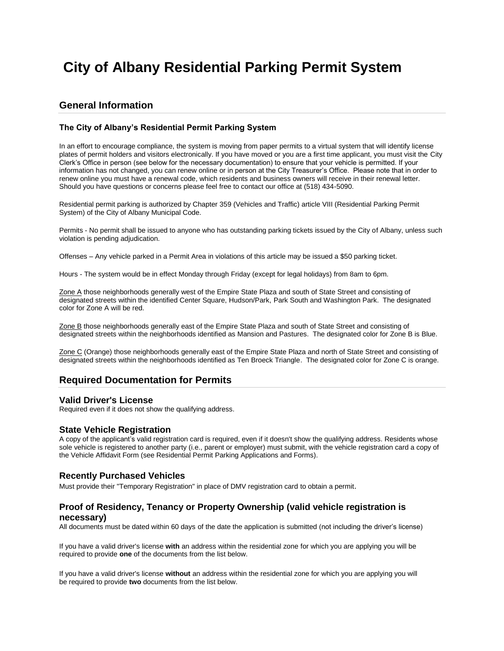# **City of Albany Residential Parking Permit System**

# **General Information**

### **The City of Albany's Residential Permit Parking System**

In an effort to encourage compliance, the system is moving from paper permits to a virtual system that will identify license plates of permit holders and visitors electronically. If you have moved or you are a first time applicant, you must visit the City Clerk's Office in person (see below for the necessary documentation) to ensure that your vehicle is permitted. If your information has not changed, you can renew online or in person at the City Treasurer's Office. Please note that in order to renew online you must have a renewal code, which residents and business owners will receive in their renewal letter. Should you have questions or concerns please feel free to contact our office at (518) 434-5090.

Residential permit parking is authorized by Chapter 359 (Vehicles and Traffic) article VIII (Residential Parking Permit System) of the City of Albany Municipal Code.

Permits - No permit shall be issued to anyone who has outstanding parking tickets issued by the City of Albany, unless such violation is pending adjudication.

Offenses – Any vehicle parked in a Permit Area in violations of this article may be issued a \$50 parking ticket.

Hours - The system would be in effect Monday through Friday (except for legal holidays) from 8am to 6pm.

Zone A those neighborhoods generally west of the Empire State Plaza and south of State Street and consisting of designated streets within the identified Center Square, Hudson/Park, Park South and Washington Park. The designated color for Zone A will be red.

Zone B those neighborhoods generally east of the Empire State Plaza and south of State Street and consisting of designated streets within the neighborhoods identified as Mansion and Pastures. The designated color for Zone B is Blue.

Zone C (Orange) those neighborhoods generally east of the Empire State Plaza and north of State Street and consisting of designated streets within the neighborhoods identified as Ten Broeck Triangle. The designated color for Zone C is orange.

## **Required Documentation for Permits**

## **Valid Driver's License**

Required even if it does not show the qualifying address.

#### **State Vehicle Registration**

A copy of the applicant's valid registration card is required, even if it doesn't show the qualifying address. Residents whose sole vehicle is registered to another party (i.e., parent or employer) must submit, with the vehicle registration card a copy of the Vehicle Affidavit Form (see Residential Permit Parking Applications and Forms).

#### **Recently Purchased Vehicles**

Must provide their "Temporary Registration" in place of DMV registration card to obtain a permit.

## **Proof of Residency, Tenancy or Property Ownership (valid vehicle registration is necessary)**

All documents must be dated within 60 days of the date the application is submitted (not including the driver's license)

If you have a valid driver's license **with** an address within the residential zone for which you are applying you will be required to provide **one** of the documents from the list below.

If you have a valid driver's license **without** an address within the residential zone for which you are applying you will be required to provide **two** documents from the list below.